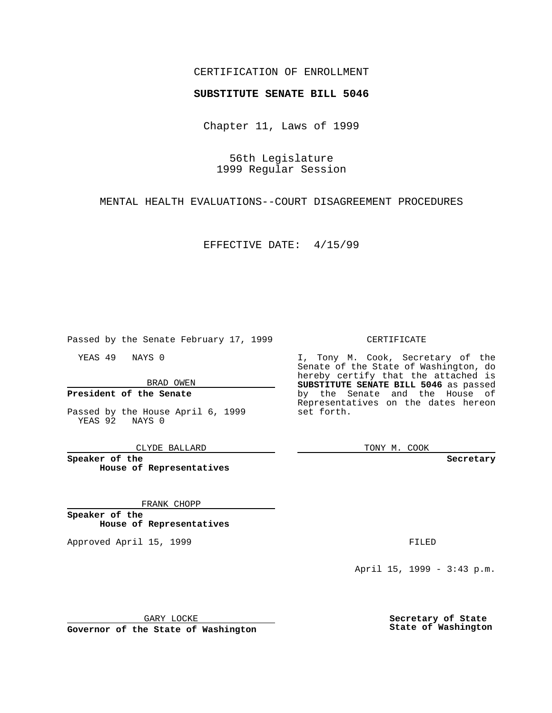### CERTIFICATION OF ENROLLMENT

# **SUBSTITUTE SENATE BILL 5046**

Chapter 11, Laws of 1999

56th Legislature 1999 Regular Session

MENTAL HEALTH EVALUATIONS--COURT DISAGREEMENT PROCEDURES

EFFECTIVE DATE: 4/15/99

Passed by the Senate February 17, 1999

YEAS 49 NAYS 0

BRAD OWEN

### **President of the Senate**

Passed by the House April 6, 1999 YEAS 92 NAYS 0

CLYDE BALLARD

**Speaker of the House of Representatives**

FRANK CHOPP

**Speaker of the House of Representatives**

Approved April 15, 1999 **FILED** 

### CERTIFICATE

I, Tony M. Cook, Secretary of the Senate of the State of Washington, do hereby certify that the attached is **SUBSTITUTE SENATE BILL 5046** as passed by the Senate and the House of Representatives on the dates hereon set forth.

TONY M. COOK

**Secretary**

April 15, 1999 - 3:43 p.m.

GARY LOCKE

**Governor of the State of Washington**

**Secretary of State State of Washington**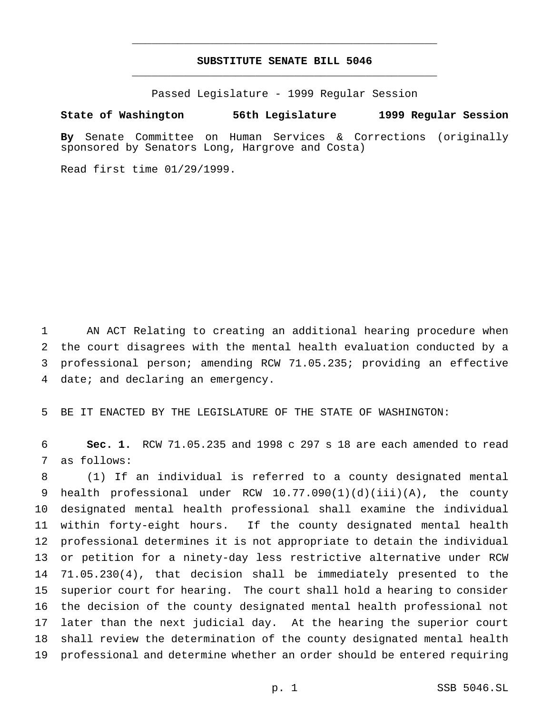## **SUBSTITUTE SENATE BILL 5046** \_\_\_\_\_\_\_\_\_\_\_\_\_\_\_\_\_\_\_\_\_\_\_\_\_\_\_\_\_\_\_\_\_\_\_\_\_\_\_\_\_\_\_\_\_\_\_

\_\_\_\_\_\_\_\_\_\_\_\_\_\_\_\_\_\_\_\_\_\_\_\_\_\_\_\_\_\_\_\_\_\_\_\_\_\_\_\_\_\_\_\_\_\_\_

Passed Legislature - 1999 Regular Session

#### **State of Washington 56th Legislature 1999 Regular Session**

**By** Senate Committee on Human Services & Corrections (originally sponsored by Senators Long, Hargrove and Costa)

Read first time 01/29/1999.

 AN ACT Relating to creating an additional hearing procedure when the court disagrees with the mental health evaluation conducted by a professional person; amending RCW 71.05.235; providing an effective date; and declaring an emergency.

BE IT ENACTED BY THE LEGISLATURE OF THE STATE OF WASHINGTON:

 **Sec. 1.** RCW 71.05.235 and 1998 c 297 s 18 are each amended to read as follows:

 (1) If an individual is referred to a county designated mental health professional under RCW 10.77.090(1)(d)(iii)(A), the county designated mental health professional shall examine the individual within forty-eight hours. If the county designated mental health professional determines it is not appropriate to detain the individual or petition for a ninety-day less restrictive alternative under RCW 71.05.230(4), that decision shall be immediately presented to the superior court for hearing. The court shall hold a hearing to consider the decision of the county designated mental health professional not later than the next judicial day. At the hearing the superior court shall review the determination of the county designated mental health professional and determine whether an order should be entered requiring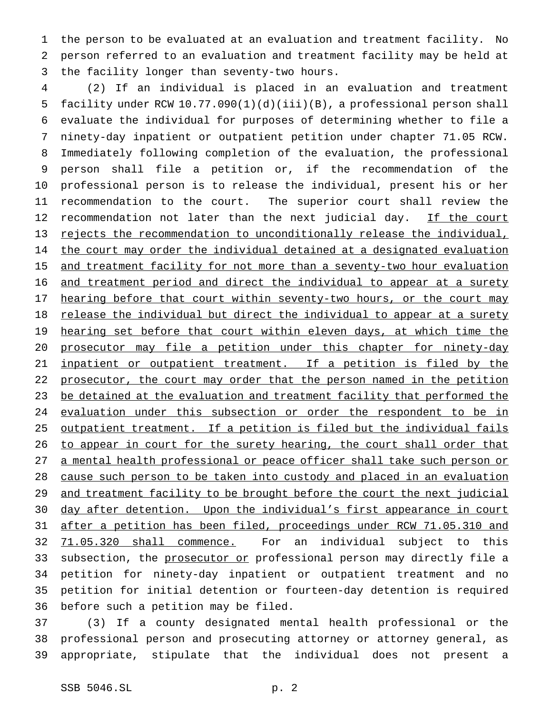the person to be evaluated at an evaluation and treatment facility. No person referred to an evaluation and treatment facility may be held at the facility longer than seventy-two hours.

 (2) If an individual is placed in an evaluation and treatment facility under RCW 10.77.090(1)(d)(iii)(B), a professional person shall evaluate the individual for purposes of determining whether to file a ninety-day inpatient or outpatient petition under chapter 71.05 RCW. Immediately following completion of the evaluation, the professional person shall file a petition or, if the recommendation of the professional person is to release the individual, present his or her recommendation to the court. The superior court shall review the 12 recommendation not later than the next judicial day. If the court rejects the recommendation to unconditionally release the individual, 14 the court may order the individual detained at a designated evaluation 15 and treatment facility for not more than a seventy-two hour evaluation and treatment period and direct the individual to appear at a surety 17 hearing before that court within seventy-two hours, or the court may 18 release the individual but direct the individual to appear at a surety 19 hearing set before that court within eleven days, at which time the prosecutor may file a petition under this chapter for ninety-day 21 inpatient or outpatient treatment. If a petition is filed by the 22 prosecutor, the court may order that the person named in the petition 23 be detained at the evaluation and treatment facility that performed the evaluation under this subsection or order the respondent to be in outpatient treatment. If a petition is filed but the individual fails 26 to appear in court for the surety hearing, the court shall order that a mental health professional or peace officer shall take such person or cause such person to be taken into custody and placed in an evaluation 29 and treatment facility to be brought before the court the next judicial day after detention. Upon the individual's first appearance in court after a petition has been filed, proceedings under RCW 71.05.310 and 71.05.320 shall commence. For an individual subject to this 33 subsection, the prosecutor or professional person may directly file a petition for ninety-day inpatient or outpatient treatment and no petition for initial detention or fourteen-day detention is required before such a petition may be filed.

 (3) If a county designated mental health professional or the professional person and prosecuting attorney or attorney general, as appropriate, stipulate that the individual does not present a